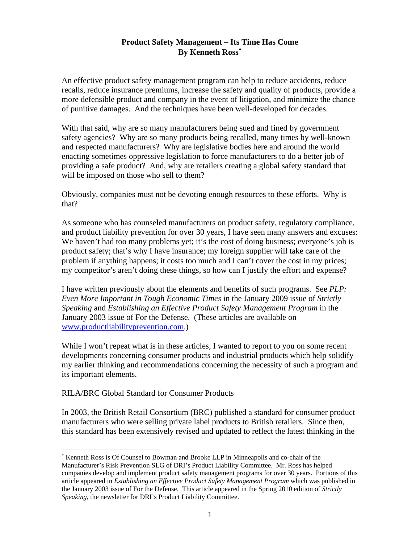# **Product Safety Management – Its Time Has Come By Kenneth Ross**<sup>∗</sup>

An effective product safety management program can help to reduce accidents, reduce recalls, reduce insurance premiums, increase the safety and quality of products, provide a more defensible product and company in the event of litigation, and minimize the chance of punitive damages. And the techniques have been well-developed for decades.

With that said, why are so many manufacturers being sued and fined by government safety agencies? Why are so many products being recalled, many times by well-known and respected manufacturers? Why are legislative bodies here and around the world enacting sometimes oppressive legislation to force manufacturers to do a better job of providing a safe product? And, why are retailers creating a global safety standard that will be imposed on those who sell to them?

Obviously, companies must not be devoting enough resources to these efforts. Why is that?

As someone who has counseled manufacturers on product safety, regulatory compliance, and product liability prevention for over 30 years, I have seen many answers and excuses: We haven't had too many problems yet; it's the cost of doing business; everyone's job is product safety; that's why I have insurance; my foreign supplier will take care of the problem if anything happens; it costs too much and I can't cover the cost in my prices; my competitor's aren't doing these things, so how can I justify the effort and expense?

I have written previously about the elements and benefits of such programs. See *PLP: Even More Important in Tough Economic Times* in the January 2009 issue of *Strictly Speaking* and *Establishing an Effective Product Safety Management Program* in the January 2003 issue of For the Defense. (These articles are available on www.productliabilityprevention.com.)

While I won't repeat what is in these articles, I wanted to report to you on some recent developments concerning consumer products and industrial products which help solidify my earlier thinking and recommendations concerning the necessity of such a program and its important elements.

## RILA/BRC Global Standard for Consumer Products

 $\overline{a}$ 

In 2003, the British Retail Consortium (BRC) published a standard for consumer product manufacturers who were selling private label products to British retailers. Since then, this standard has been extensively revised and updated to reflect the latest thinking in the

<sup>∗</sup> Kenneth Ross is Of Counsel to Bowman and Brooke LLP in Minneapolis and co-chair of the Manufacturer's Risk Prevention SLG of DRI's Product Liability Committee. Mr. Ross has helped companies develop and implement product safety management programs for over 30 years. Portions of this article appeared in *Establishing an Effective Product Safety Management Program* which was published in the January 2003 issue of For the Defense. This article appeared in the Spring 2010 edition of *Strictly Speaking*, the newsletter for DRI's Product Liability Committee.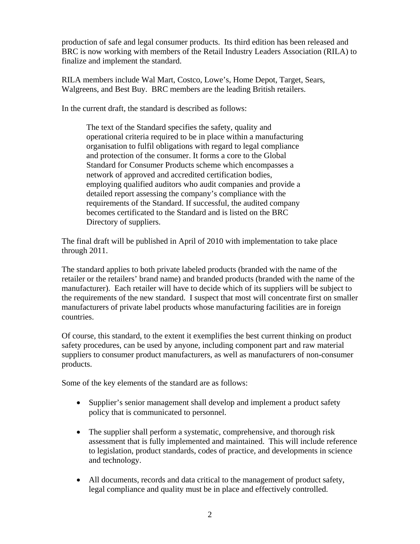production of safe and legal consumer products. Its third edition has been released and BRC is now working with members of the Retail Industry Leaders Association (RILA) to finalize and implement the standard.

RILA members include Wal Mart, Costco, Lowe's, Home Depot, Target, Sears, Walgreens, and Best Buy. BRC members are the leading British retailers.

In the current draft, the standard is described as follows:

The text of the Standard specifies the safety, quality and operational criteria required to be in place within a manufacturing organisation to fulfil obligations with regard to legal compliance and protection of the consumer. It forms a core to the Global Standard for Consumer Products scheme which encompasses a network of approved and accredited certification bodies, employing qualified auditors who audit companies and provide a detailed report assessing the company's compliance with the requirements of the Standard. If successful, the audited company becomes certificated to the Standard and is listed on the BRC Directory of suppliers.

The final draft will be published in April of 2010 with implementation to take place through 2011.

The standard applies to both private labeled products (branded with the name of the retailer or the retailers' brand name) and branded products (branded with the name of the manufacturer). Each retailer will have to decide which of its suppliers will be subject to the requirements of the new standard. I suspect that most will concentrate first on smaller manufacturers of private label products whose manufacturing facilities are in foreign countries.

Of course, this standard, to the extent it exemplifies the best current thinking on product safety procedures, can be used by anyone, including component part and raw material suppliers to consumer product manufacturers, as well as manufacturers of non-consumer products.

Some of the key elements of the standard are as follows:

- Supplier's senior management shall develop and implement a product safety policy that is communicated to personnel.
- The supplier shall perform a systematic, comprehensive, and thorough risk assessment that is fully implemented and maintained. This will include reference to legislation, product standards, codes of practice, and developments in science and technology.
- All documents, records and data critical to the management of product safety, legal compliance and quality must be in place and effectively controlled.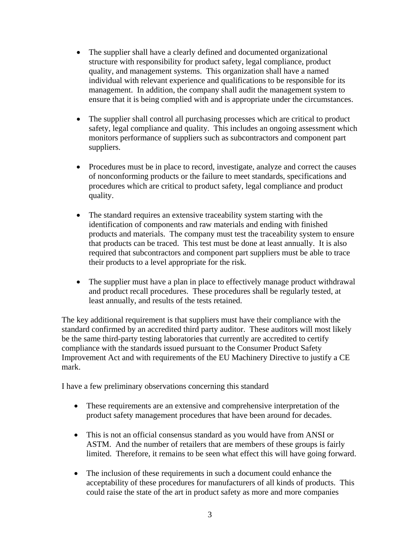- The supplier shall have a clearly defined and documented organizational structure with responsibility for product safety, legal compliance, product quality, and management systems. This organization shall have a named individual with relevant experience and qualifications to be responsible for its management. In addition, the company shall audit the management system to ensure that it is being complied with and is appropriate under the circumstances.
- The supplier shall control all purchasing processes which are critical to product safety, legal compliance and quality. This includes an ongoing assessment which monitors performance of suppliers such as subcontractors and component part suppliers.
- Procedures must be in place to record, investigate, analyze and correct the causes of nonconforming products or the failure to meet standards, specifications and procedures which are critical to product safety, legal compliance and product quality.
- The standard requires an extensive traceability system starting with the identification of components and raw materials and ending with finished products and materials. The company must test the traceability system to ensure that products can be traced. This test must be done at least annually. It is also required that subcontractors and component part suppliers must be able to trace their products to a level appropriate for the risk.
- The supplier must have a plan in place to effectively manage product withdrawal and product recall procedures. These procedures shall be regularly tested, at least annually, and results of the tests retained.

The key additional requirement is that suppliers must have their compliance with the standard confirmed by an accredited third party auditor. These auditors will most likely be the same third-party testing laboratories that currently are accredited to certify compliance with the standards issued pursuant to the Consumer Product Safety Improvement Act and with requirements of the EU Machinery Directive to justify a CE mark.

I have a few preliminary observations concerning this standard

- These requirements are an extensive and comprehensive interpretation of the product safety management procedures that have been around for decades.
- This is not an official consensus standard as you would have from ANSI or ASTM. And the number of retailers that are members of these groups is fairly limited. Therefore, it remains to be seen what effect this will have going forward.
- The inclusion of these requirements in such a document could enhance the acceptability of these procedures for manufacturers of all kinds of products. This could raise the state of the art in product safety as more and more companies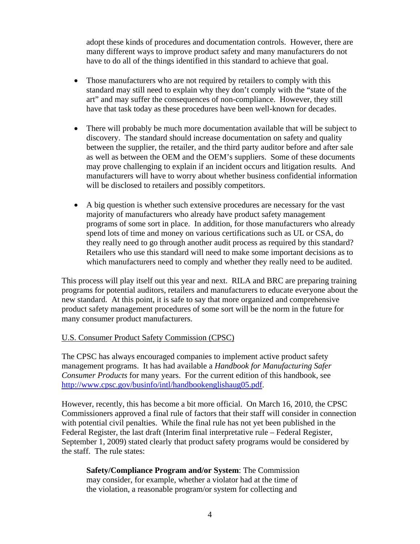adopt these kinds of procedures and documentation controls. However, there are many different ways to improve product safety and many manufacturers do not have to do all of the things identified in this standard to achieve that goal.

- Those manufacturers who are not required by retailers to comply with this standard may still need to explain why they don't comply with the "state of the art" and may suffer the consequences of non-compliance. However, they still have that task today as these procedures have been well-known for decades.
- There will probably be much more documentation available that will be subject to discovery. The standard should increase documentation on safety and quality between the supplier, the retailer, and the third party auditor before and after sale as well as between the OEM and the OEM's suppliers. Some of these documents may prove challenging to explain if an incident occurs and litigation results. And manufacturers will have to worry about whether business confidential information will be disclosed to retailers and possibly competitors.
- A big question is whether such extensive procedures are necessary for the vast majority of manufacturers who already have product safety management programs of some sort in place. In addition, for those manufacturers who already spend lots of time and money on various certifications such as UL or CSA, do they really need to go through another audit process as required by this standard? Retailers who use this standard will need to make some important decisions as to which manufacturers need to comply and whether they really need to be audited.

This process will play itself out this year and next. RILA and BRC are preparing training programs for potential auditors, retailers and manufacturers to educate everyone about the new standard. At this point, it is safe to say that more organized and comprehensive product safety management procedures of some sort will be the norm in the future for many consumer product manufacturers.

## U.S. Consumer Product Safety Commission (CPSC)

The CPSC has always encouraged companies to implement active product safety management programs. It has had available a *Handbook for Manufacturing Safer Consumer Products* for many years. For the current edition of this handbook, see http://www.cpsc.gov/businfo/intl/handbookenglishaug05.pdf.

However, recently, this has become a bit more official. On March 16, 2010, the CPSC Commissioners approved a final rule of factors that their staff will consider in connection with potential civil penalties. While the final rule has not yet been published in the Federal Register, the last draft (Interim final interpretative rule – Federal Register, September 1, 2009) stated clearly that product safety programs would be considered by the staff. The rule states:

**Safety/Compliance Program and/or System**: The Commission may consider, for example, whether a violator had at the time of the violation, a reasonable program/or system for collecting and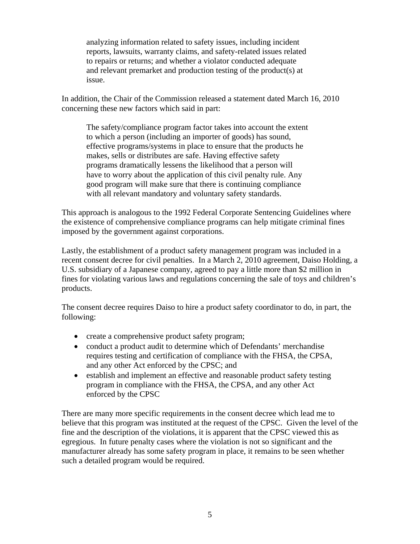analyzing information related to safety issues, including incident reports, lawsuits, warranty claims, and safety-related issues related to repairs or returns; and whether a violator conducted adequate and relevant premarket and production testing of the product(s) at issue.

In addition, the Chair of the Commission released a statement dated March 16, 2010 concerning these new factors which said in part:

The safety/compliance program factor takes into account the extent to which a person (including an importer of goods) has sound, effective programs/systems in place to ensure that the products he makes, sells or distributes are safe. Having effective safety programs dramatically lessens the likelihood that a person will have to worry about the application of this civil penalty rule. Any good program will make sure that there is continuing compliance with all relevant mandatory and voluntary safety standards.

This approach is analogous to the 1992 Federal Corporate Sentencing Guidelines where the existence of comprehensive compliance programs can help mitigate criminal fines imposed by the government against corporations.

Lastly, the establishment of a product safety management program was included in a recent consent decree for civil penalties. In a March 2, 2010 agreement, Daiso Holding, a U.S. subsidiary of a Japanese company, agreed to pay a little more than \$2 million in fines for violating various laws and regulations concerning the sale of toys and children's products.

The consent decree requires Daiso to hire a product safety coordinator to do, in part, the following:

- create a comprehensive product safety program;
- conduct a product audit to determine which of Defendants' merchandise requires testing and certification of compliance with the FHSA, the CPSA, and any other Act enforced by the CPSC; and
- establish and implement an effective and reasonable product safety testing program in compliance with the FHSA, the CPSA, and any other Act enforced by the CPSC

There are many more specific requirements in the consent decree which lead me to believe that this program was instituted at the request of the CPSC. Given the level of the fine and the description of the violations, it is apparent that the CPSC viewed this as egregious. In future penalty cases where the violation is not so significant and the manufacturer already has some safety program in place, it remains to be seen whether such a detailed program would be required.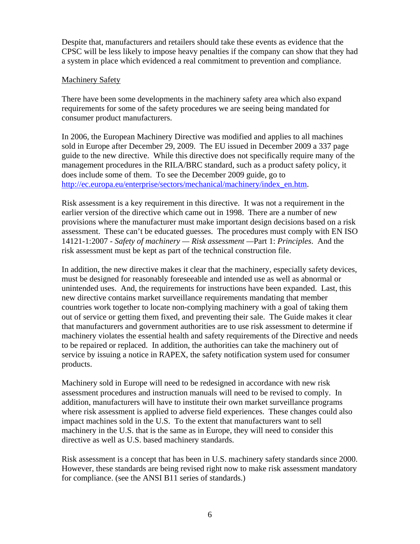Despite that, manufacturers and retailers should take these events as evidence that the CPSC will be less likely to impose heavy penalties if the company can show that they had a system in place which evidenced a real commitment to prevention and compliance.

## Machinery Safety

There have been some developments in the machinery safety area which also expand requirements for some of the safety procedures we are seeing being mandated for consumer product manufacturers.

In 2006, the European Machinery Directive was modified and applies to all machines sold in Europe after December 29, 2009. The EU issued in December 2009 a 337 page guide to the new directive. While this directive does not specifically require many of the management procedures in the RILA/BRC standard, such as a product safety policy, it does include some of them. To see the December 2009 guide, go to http://ec.europa.eu/enterprise/sectors/mechanical/machinery/index\_en.htm.

Risk assessment is a key requirement in this directive. It was not a requirement in the earlier version of the directive which came out in 1998. There are a number of new provisions where the manufacturer must make important design decisions based on a risk assessment. These can't be educated guesses. The procedures must comply with EN ISO 14121-1:2007 - *Safety of machinery — Risk assessment —*Part 1: *Principles*. And the risk assessment must be kept as part of the technical construction file.

In addition, the new directive makes it clear that the machinery, especially safety devices, must be designed for reasonably foreseeable and intended use as well as abnormal or unintended uses. And, the requirements for instructions have been expanded. Last, this new directive contains market surveillance requirements mandating that member countries work together to locate non-complying machinery with a goal of taking them out of service or getting them fixed, and preventing their sale. The Guide makes it clear that manufacturers and government authorities are to use risk assessment to determine if machinery violates the essential health and safety requirements of the Directive and needs to be repaired or replaced. In addition, the authorities can take the machinery out of service by issuing a notice in RAPEX, the safety notification system used for consumer products.

Machinery sold in Europe will need to be redesigned in accordance with new risk assessment procedures and instruction manuals will need to be revised to comply. In addition, manufacturers will have to institute their own market surveillance programs where risk assessment is applied to adverse field experiences. These changes could also impact machines sold in the U.S. To the extent that manufacturers want to sell machinery in the U.S. that is the same as in Europe, they will need to consider this directive as well as U.S. based machinery standards.

Risk assessment is a concept that has been in U.S. machinery safety standards since 2000. However, these standards are being revised right now to make risk assessment mandatory for compliance. (see the ANSI B11 series of standards.)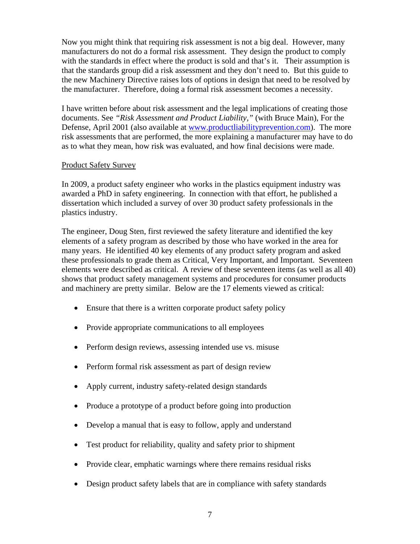Now you might think that requiring risk assessment is not a big deal. However, many manufacturers do not do a formal risk assessment. They design the product to comply with the standards in effect where the product is sold and that's it. Their assumption is that the standards group did a risk assessment and they don't need to. But this guide to the new Machinery Directive raises lots of options in design that need to be resolved by the manufacturer. Therefore, doing a formal risk assessment becomes a necessity.

I have written before about risk assessment and the legal implications of creating those documents. See *"Risk Assessment and Product Liability,"* (with Bruce Main), For the Defense, April 2001 (also available at www.productliabilityprevention.com). The more risk assessments that are performed, the more explaining a manufacturer may have to do as to what they mean, how risk was evaluated, and how final decisions were made.

#### Product Safety Survey

In 2009, a product safety engineer who works in the plastics equipment industry was awarded a PhD in safety engineering. In connection with that effort, he published a dissertation which included a survey of over 30 product safety professionals in the plastics industry.

The engineer, Doug Sten, first reviewed the safety literature and identified the key elements of a safety program as described by those who have worked in the area for many years. He identified 40 key elements of any product safety program and asked these professionals to grade them as Critical, Very Important, and Important. Seventeen elements were described as critical. A review of these seventeen items (as well as all 40) shows that product safety management systems and procedures for consumer products and machinery are pretty similar. Below are the 17 elements viewed as critical:

- Ensure that there is a written corporate product safety policy
- Provide appropriate communications to all employees
- Perform design reviews, assessing intended use vs. misuse
- Perform formal risk assessment as part of design review
- Apply current, industry safety-related design standards
- Produce a prototype of a product before going into production
- Develop a manual that is easy to follow, apply and understand
- Test product for reliability, quality and safety prior to shipment
- Provide clear, emphatic warnings where there remains residual risks
- Design product safety labels that are in compliance with safety standards